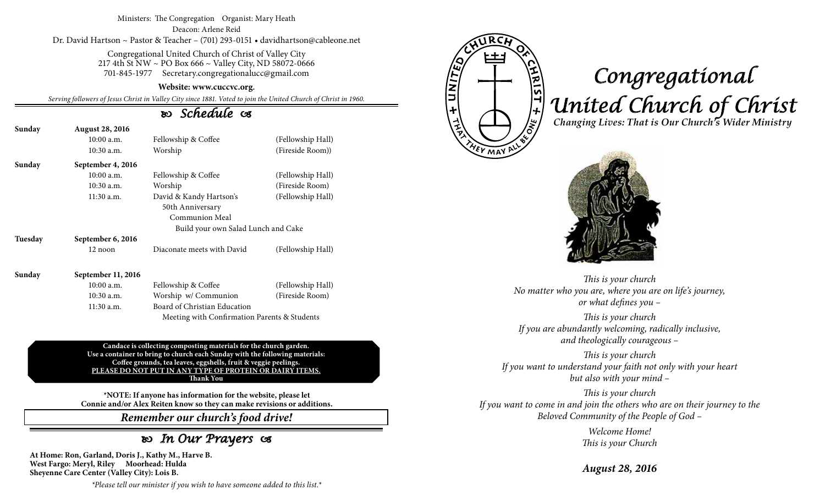#### Ministers: The Congregation Organist: Mary Heath Deacon: Arlene Reid Dr. David Hartson ~ Pastor & Teacher – (701) 293-0151 • davidhartson@cableone.net

Congregational United Church of Christ of Valley City 217 4th St NW ~ PO Box 666 ~ Valley City, ND 58072-0666 701-845-1977 Secretary.congregationalucc@gmail.com

#### **Website: www.cuccvc.org.**

*Serving followers of Jesus Christ in Valley City since 1881. Voted to join the United Church of Christ in 1960.*

### *Schedule*

| Sunday | <b>August 28, 2016</b>             |                            |                   |  |
|--------|------------------------------------|----------------------------|-------------------|--|
|        | $10:00$ a.m.                       | Fellowship & Coffee        | (Fellowship Hall) |  |
|        | $10:30$ a.m.                       | Worship                    | (Fireside Room))  |  |
| Sunday | September 4, 2016                  |                            |                   |  |
|        | $10:00$ a.m.                       | Fellowship & Coffee        | (Fellowship Hall) |  |
|        | $10:30$ a.m.                       | Worship                    | (Fireside Room)   |  |
|        | $11:30$ a.m.                       | David & Kandy Hartson's    | (Fellowship Hall) |  |
|        | 50th Anniversary<br>Communion Meal |                            |                   |  |
|        |                                    |                            |                   |  |
|        | Tuesday                            | September 6, 2016          |                   |  |
|        | 12 noon                            | Diaconate meets with David | (Fellowship Hall) |  |
| Sunday | September 11, 2016                 |                            |                   |  |

10:00 a.m. Fellowship & Coffee (Fellowship Hall) 10:30 a.m. Worship w/ Communion (Fireside Room) 11:30 a.m. Board of Christian Education Meeting with Confirmation Parents & Students

**Candace is collecting composting materials for the church garden. Use a container to bring to church each Sunday with the following materials: Coffee grounds, tea leaves, eggshells, fruit & veggie peelings. PLEASE DO NOT PUT IN ANY TYPE OF PROTEIN OR DAIRY ITEMS. Thank You**

**\*NOTE: If anyone has information for the website, please let Connie and/or Alex Reiten know so they can make revisions or additions.**

*Remember our church's food drive!*

## *In Our Prayers*

**At Home: Ron, Garland, Doris J., Kathy M., Harve B. West Fargo: Meryl, Riley Moorhead: Hulda Sheyenne Care Center (Valley City): Lois B.**

**ATINITE** <u>NAIST + Mo</u>

**VEY MAY A** 

# *Congregational United Church of Christ Changing Lives: That is Our Church's Wider Ministry*



*This is your church No matter who you are, where you are on life's journey, or what defines you –*

*This is your church If you are abundantly welcoming, radically inclusive, and theologically courageous –*

*This is your church If you want to understand your faith not only with your heart but also with your mind –*

*This is your church If you want to come in and join the others who are on their journey to the Beloved Community of the People of God –*

> *Welcome Home! This is your Church*

*August 28, 2016*

*\*Please tell our minister if you wish to have someone added to this list.\**